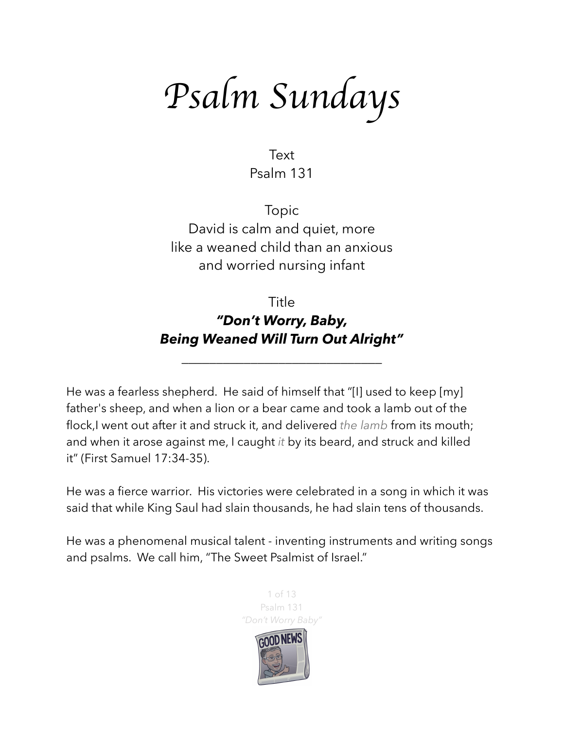*Psalm Sundays*

Text Psalm 131

Topic David is calm and quiet, more like a weaned child than an anxious and worried nursing infant

## Title *"Don't Worry, Baby, Being Weaned Will Turn Out Alright"*

\_\_\_\_\_\_\_\_\_\_\_\_\_\_\_\_\_\_\_\_\_\_\_\_\_\_\_\_\_

He was a fearless shepherd. He said of himself that "[I] used to keep [my] father's sheep, and when a lion or a bear came and took a lamb out of the flock,I went out after it and struck it, and delivered *the lamb* from its mouth; and when it arose against me, I caught *it* by its beard, and struck and killed it" (First Samuel 17:34-35).

He was a fierce warrior. His victories were celebrated in a song in which it was said that while King Saul had slain thousands, he had slain tens of thousands.

He was a phenomenal musical talent - inventing instruments and writing songs and psalms. We call him, "The Sweet Psalmist of Israel."

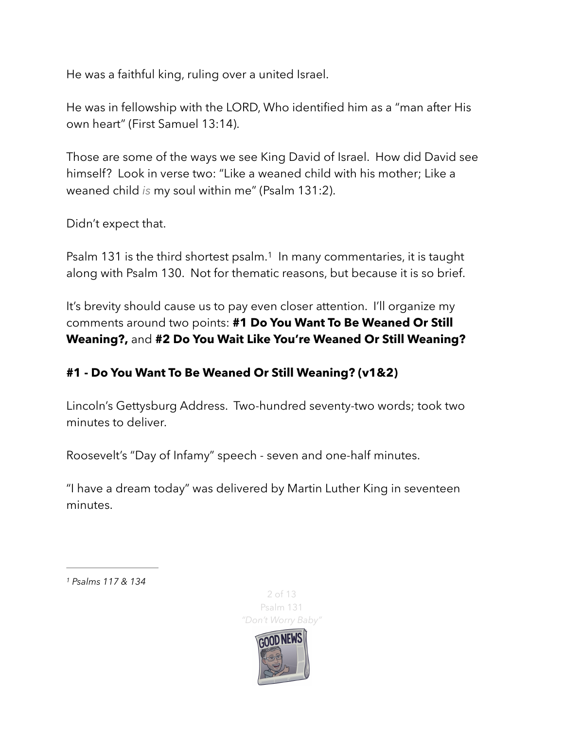He was a faithful king, ruling over a united Israel.

He was in fellowship with the LORD, Who identified him as a "man after His own heart" (First Samuel 13:14).

Those are some of the ways we see King David of Israel. How did David see himself? Look in verse two: "Like a weaned child with his mother; Like a weaned child *is* my soul within me" (Psalm 131:2).

Didn't expect that.

<span id="page-1-1"></span>Psalm[1](#page-1-0)31 is the third shortest psalm.<sup>1</sup> In many commentaries, it is taught along with Psalm 130. Not for thematic reasons, but because it is so brief.

It's brevity should cause us to pay even closer attention. I'll organize my comments around two points: **#1 Do You Want To Be Weaned Or Still Weaning?,** and **#2 Do You Wait Like You're Weaned Or Still Weaning?** 

## **#1 - Do You Want To Be Weaned Or Still Weaning? (v1&2)**

Lincoln's Gettysburg Address. Two-hundred seventy-two words; took two minutes to deliver.

Roosevelt's "Day of Infamy" speech - seven and one-half minutes.

"I have a dream today" was delivered by Martin Luther King in seventeen minutes.

<span id="page-1-0"></span>*[1](#page-1-1) Psalms 117 & 134*

2 of 13 Psalm 131 *"Don't Worry Baby"* 

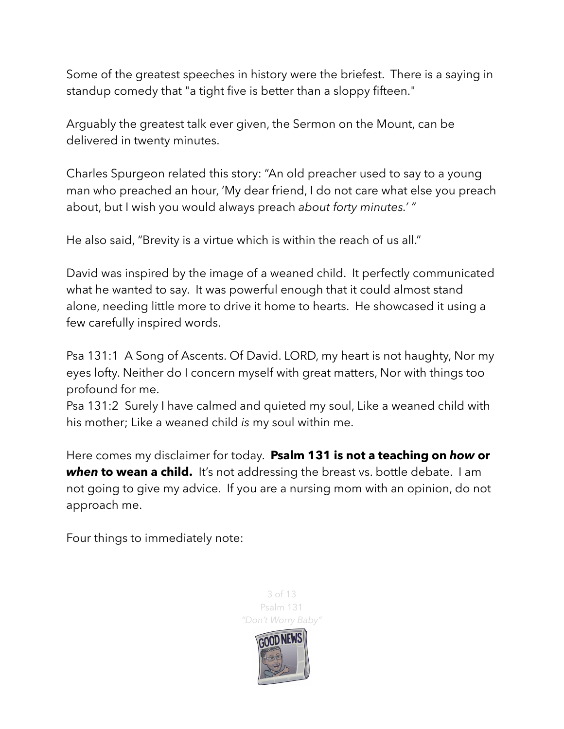Some of the greatest speeches in history were the briefest. There is a saying in standup comedy that "a tight five is better than a sloppy fifteen."

Arguably the greatest talk ever given, the Sermon on the Mount, can be delivered in twenty minutes.

Charles Spurgeon related this story: "An old preacher used to say to a young man who preached an hour, 'My dear friend, I do not care what else you preach about, but I wish you would always preach *about forty minutes.' "*

He also said, "Brevity is a virtue which is within the reach of us all."

David was inspired by the image of a weaned child. It perfectly communicated what he wanted to say. It was powerful enough that it could almost stand alone, needing little more to drive it home to hearts. He showcased it using a few carefully inspired words.

Psa 131:1 A Song of Ascents. Of David. LORD, my heart is not haughty, Nor my eyes lofty. Neither do I concern myself with great matters, Nor with things too profound for me.

Psa 131:2 Surely I have calmed and quieted my soul, Like a weaned child with his mother; Like a weaned child *is* my soul within me.

Here comes my disclaimer for today. **Psalm 131 is not a teaching on** *how* **or**  *when* **to wean a child.** It's not addressing the breast vs. bottle debate. I am not going to give my advice. If you are a nursing mom with an opinion, do not approach me.

Four things to immediately note:

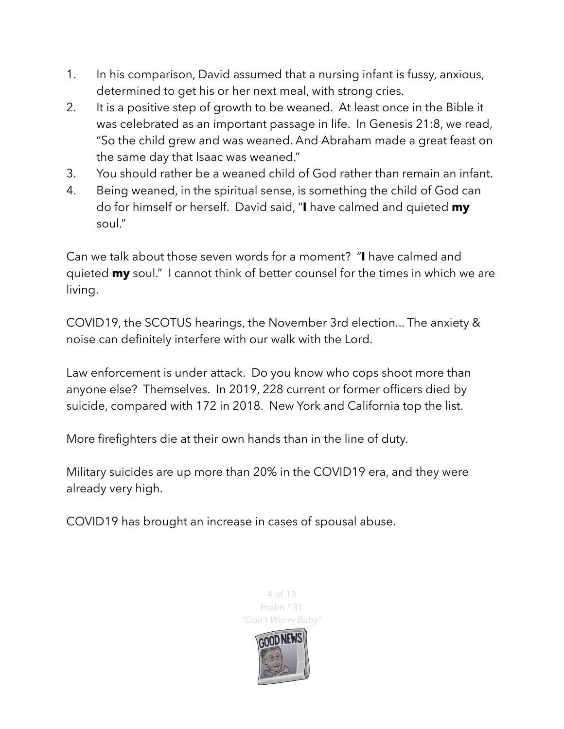- 1. In his comparison, David assumed that a nursing infant is fussy, anxious, determined to get his or her next meal, with strong cries.
- 2. It is a positive step of growth to be weaned. At least once in the Bible it was celebrated as an important passage in life. In Genesis 21:8, we read, "So the child grew and was weaned. And Abraham made a great feast on the same day that Isaac was weaned."
- 3. You should rather be a weaned child of God rather than remain an infant.
- 4. Being weaned, in the spiritual sense, is something the child of God can do for himself or herself. David said, "**I** have calmed and quieted **my** soul."

Can we talk about those seven words for a moment? "**I** have calmed and quieted **my** soul." I cannot think of better counsel for the times in which we are living.

COVID19, the SCOTUS hearings, the November 3rd election... The anxiety & noise can definitely interfere with our walk with the Lord.

Law enforcement is under attack. Do you know who cops shoot more than anyone else? Themselves. In 2019, 228 current or former officers died by suicide, compared with 172 in 2018. New York and California top the list.

More firefighters die at their own hands than in the line of duty.

Military suicides are up more than 20% in the COVID19 era, and they were already very high.

COVID19 has brought an increase in cases of spousal abuse.

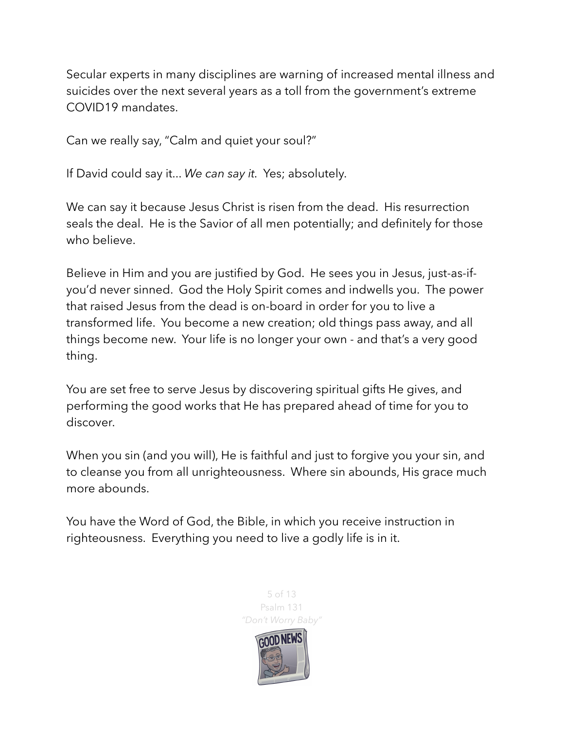Secular experts in many disciplines are warning of increased mental illness and suicides over the next several years as a toll from the government's extreme COVID19 mandates.

Can we really say, "Calm and quiet your soul?"

If David could say it... *We can say it.* Yes; absolutely.

We can say it because Jesus Christ is risen from the dead. His resurrection seals the deal. He is the Savior of all men potentially; and definitely for those who believe.

Believe in Him and you are justified by God. He sees you in Jesus, just-as-ifyou'd never sinned. God the Holy Spirit comes and indwells you. The power that raised Jesus from the dead is on-board in order for you to live a transformed life. You become a new creation; old things pass away, and all things become new. Your life is no longer your own - and that's a very good thing.

You are set free to serve Jesus by discovering spiritual gifts He gives, and performing the good works that He has prepared ahead of time for you to discover.

When you sin (and you will), He is faithful and just to forgive you your sin, and to cleanse you from all unrighteousness. Where sin abounds, His grace much more abounds.

You have the Word of God, the Bible, in which you receive instruction in righteousness. Everything you need to live a godly life is in it.

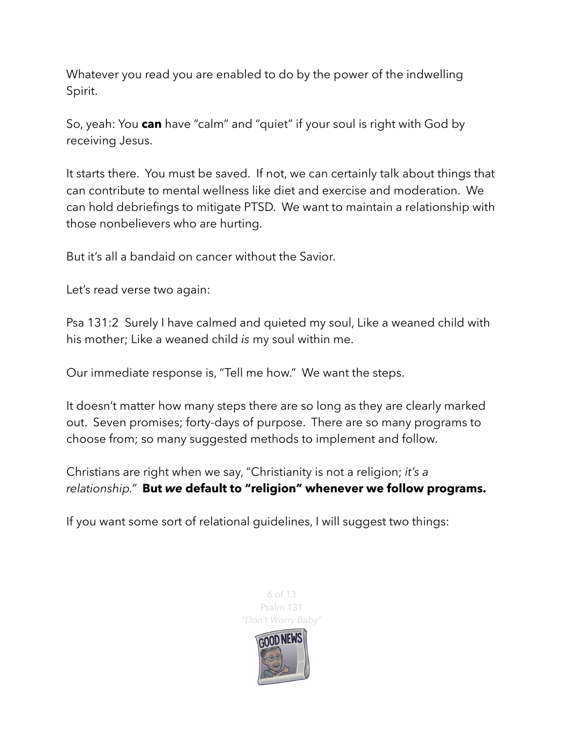Whatever you read you are enabled to do by the power of the indwelling Spirit.

So, yeah: You **can** have "calm" and "quiet" if your soul is right with God by receiving Jesus.

It starts there. You must be saved. If not, we can certainly talk about things that can contribute to mental wellness like diet and exercise and moderation. We can hold debriefings to mitigate PTSD. We want to maintain a relationship with those nonbelievers who are hurting.

But it's all a bandaid on cancer without the Savior.

Let's read verse two again:

Psa 131:2 Surely I have calmed and quieted my soul, Like a weaned child with his mother; Like a weaned child *is* my soul within me.

Our immediate response is, "Tell me how." We want the steps.

It doesn't matter how many steps there are so long as they are clearly marked out. Seven promises; forty-days of purpose. There are so many programs to choose from; so many suggested methods to implement and follow.

Christians are right when we say, "Christianity is not a religion; *it's a relationship."* **But** *we* **default to "religion" whenever we follow programs.** 

If you want some sort of relational guidelines, I will suggest two things:

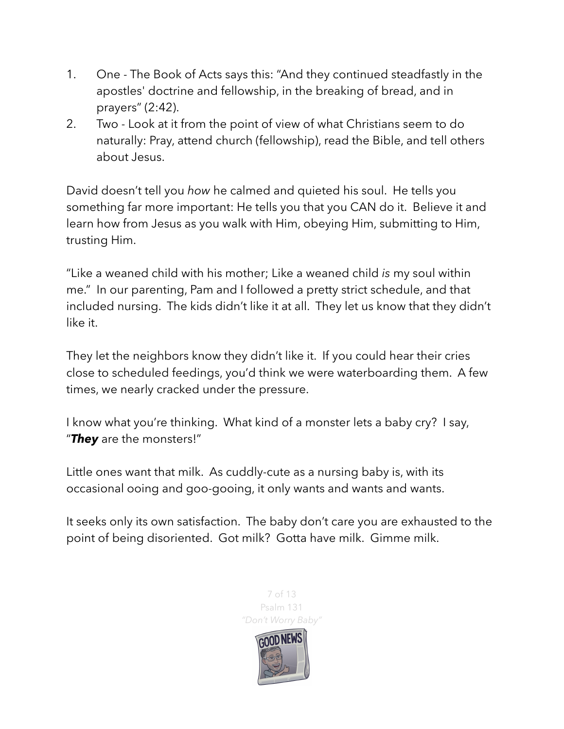- 1. One The Book of Acts says this: "And they continued steadfastly in the apostles' doctrine and fellowship, in the breaking of bread, and in prayers" (2:42).
- 2. Two Look at it from the point of view of what Christians seem to do naturally: Pray, attend church (fellowship), read the Bible, and tell others about Jesus.

David doesn't tell you *how* he calmed and quieted his soul. He tells you something far more important: He tells you that you CAN do it. Believe it and learn how from Jesus as you walk with Him, obeying Him, submitting to Him, trusting Him.

"Like a weaned child with his mother; Like a weaned child *is* my soul within me." In our parenting, Pam and I followed a pretty strict schedule, and that included nursing. The kids didn't like it at all. They let us know that they didn't like it.

They let the neighbors know they didn't like it. If you could hear their cries close to scheduled feedings, you'd think we were waterboarding them. A few times, we nearly cracked under the pressure.

I know what you're thinking. What kind of a monster lets a baby cry? I say, "*They* are the monsters!"

Little ones want that milk. As cuddly-cute as a nursing baby is, with its occasional ooing and goo-gooing, it only wants and wants and wants.

It seeks only its own satisfaction. The baby don't care you are exhausted to the point of being disoriented. Got milk? Gotta have milk. Gimme milk.

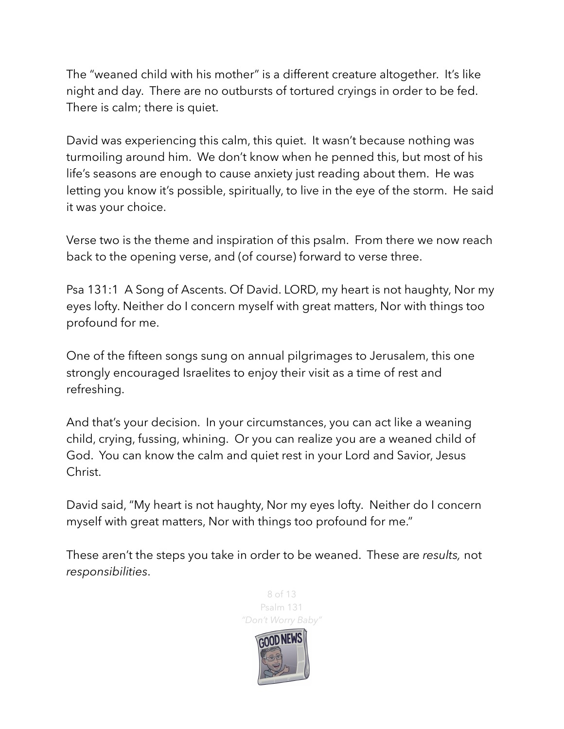The "weaned child with his mother" is a different creature altogether. It's like night and day. There are no outbursts of tortured cryings in order to be fed. There is calm; there is quiet.

David was experiencing this calm, this quiet. It wasn't because nothing was turmoiling around him. We don't know when he penned this, but most of his life's seasons are enough to cause anxiety just reading about them. He was letting you know it's possible, spiritually, to live in the eye of the storm. He said it was your choice.

Verse two is the theme and inspiration of this psalm. From there we now reach back to the opening verse, and (of course) forward to verse three.

Psa 131:1 A Song of Ascents. Of David. LORD, my heart is not haughty, Nor my eyes lofty. Neither do I concern myself with great matters, Nor with things too profound for me.

One of the fifteen songs sung on annual pilgrimages to Jerusalem, this one strongly encouraged Israelites to enjoy their visit as a time of rest and refreshing.

And that's your decision. In your circumstances, you can act like a weaning child, crying, fussing, whining. Or you can realize you are a weaned child of God. You can know the calm and quiet rest in your Lord and Savior, Jesus Christ.

David said, "My heart is not haughty, Nor my eyes lofty. Neither do I concern myself with great matters, Nor with things too profound for me."

These aren't the steps you take in order to be weaned. These are *results,* not *responsibilities*.

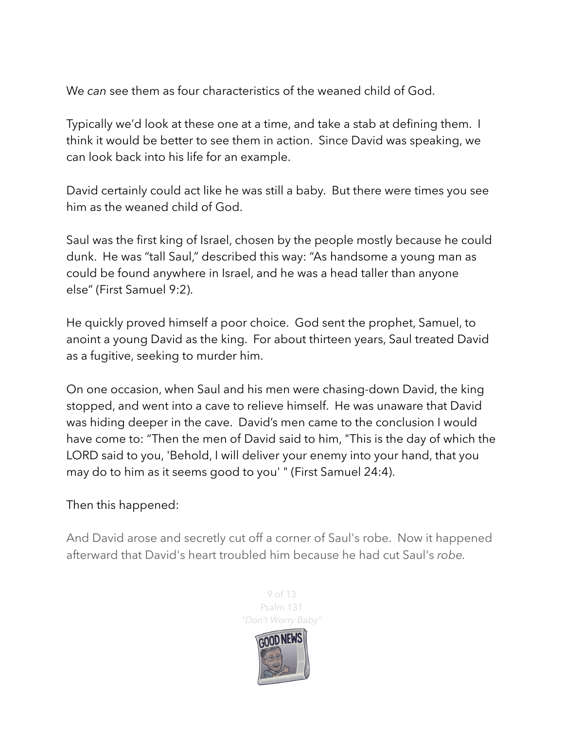We *can* see them as four characteristics of the weaned child of God.

Typically we'd look at these one at a time, and take a stab at defining them. I think it would be better to see them in action. Since David was speaking, we can look back into his life for an example.

David certainly could act like he was still a baby. But there were times you see him as the weaned child of God.

Saul was the first king of Israel, chosen by the people mostly because he could dunk. He was "tall Saul," described this way: "As handsome a young man as could be found anywhere in Israel, and he was a head taller than anyone else" (First Samuel 9:2).

He quickly proved himself a poor choice. God sent the prophet, Samuel, to anoint a young David as the king. For about thirteen years, Saul treated David as a fugitive, seeking to murder him.

On one occasion, when Saul and his men were chasing-down David, the king stopped, and went into a cave to relieve himself. He was unaware that David was hiding deeper in the cave. David's men came to the conclusion I would have come to: "Then the men of David said to him, "This is the day of which the LORD said to you, 'Behold, I will deliver your enemy into your hand, that you may do to him as it seems good to you' " (First Samuel 24:4).

## Then this happened:

And David arose and secretly cut off a corner of Saul's robe. Now it happened afterward that David's heart troubled him because he had cut Saul's *robe.*

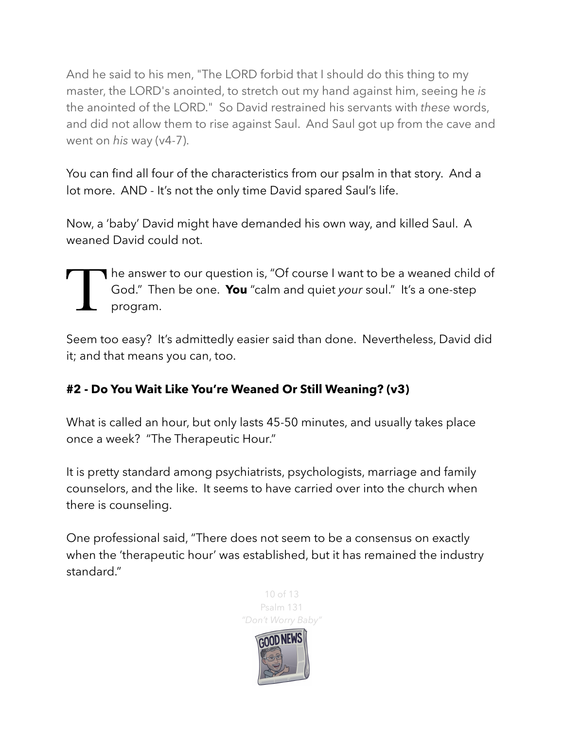And he said to his men, "The LORD forbid that I should do this thing to my master, the LORD's anointed, to stretch out my hand against him, seeing he *is* the anointed of the LORD." So David restrained his servants with *these* words, and did not allow them to rise against Saul. And Saul got up from the cave and went on *his* way (v4-7).

You can find all four of the characteristics from our psalm in that story. And a lot more. AND - It's not the only time David spared Saul's life.

Now, a 'baby' David might have demanded his own way, and killed Saul. A weaned David could not.

The answer to our question is, "Of course I want to be a weaned child of God." Then be one. You "calm and quiet your soul." It's a one-step program. God." Then be one. **You** "calm and quiet *your* soul." It's a one-step program.

Seem too easy? It's admittedly easier said than done. Nevertheless, David did it; and that means you can, too.

## **#2 - Do You Wait Like You're Weaned Or Still Weaning? (v3)**

What is called an hour, but only lasts 45-50 minutes, and usually takes place once a week? "The Therapeutic Hour."

It is pretty standard among psychiatrists, psychologists, marriage and family counselors, and the like. It seems to have carried over into the church when there is counseling.

One professional said, "There does not seem to be a consensus on exactly when the 'therapeutic hour' was established, but it has remained the industry standard."

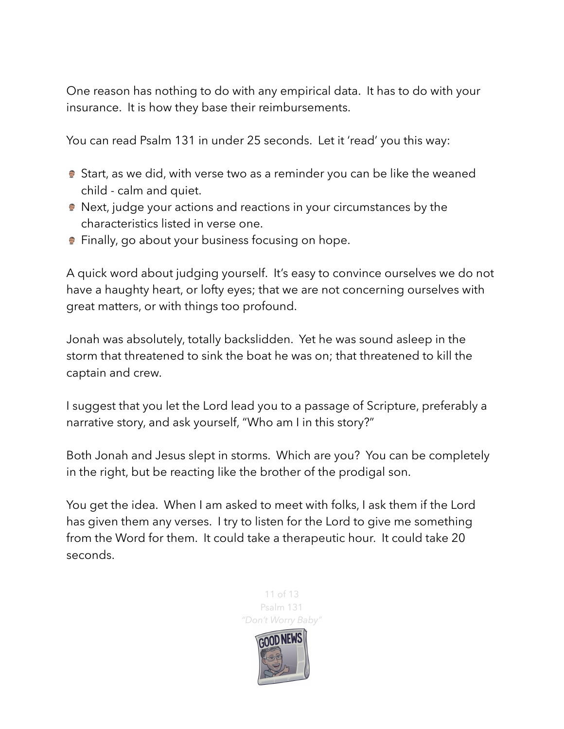One reason has nothing to do with any empirical data. It has to do with your insurance. It is how they base their reimbursements.

You can read Psalm 131 in under 25 seconds. Let it 'read' you this way:

- **Start, as we did, with verse two as a reminder you can be like the weaned** child - calm and quiet.
- Next, judge your actions and reactions in your circumstances by the characteristics listed in verse one.
- **•** Finally, go about your business focusing on hope.

A quick word about judging yourself. It's easy to convince ourselves we do not have a haughty heart, or lofty eyes; that we are not concerning ourselves with great matters, or with things too profound.

Jonah was absolutely, totally backslidden. Yet he was sound asleep in the storm that threatened to sink the boat he was on; that threatened to kill the captain and crew.

I suggest that you let the Lord lead you to a passage of Scripture, preferably a narrative story, and ask yourself, "Who am I in this story?"

Both Jonah and Jesus slept in storms. Which are you? You can be completely in the right, but be reacting like the brother of the prodigal son.

You get the idea. When I am asked to meet with folks, I ask them if the Lord has given them any verses. I try to listen for the Lord to give me something from the Word for them. It could take a therapeutic hour. It could take 20 seconds.

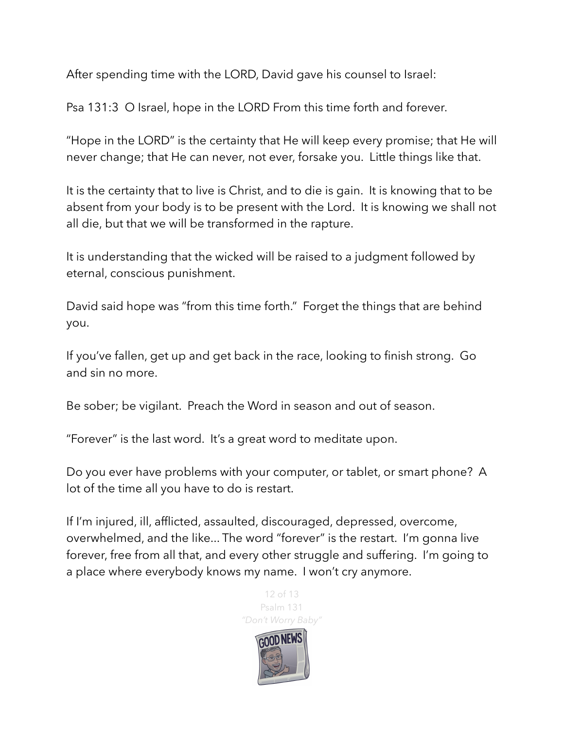After spending time with the LORD, David gave his counsel to Israel:

Psa 131:3 O Israel, hope in the LORD From this time forth and forever.

"Hope in the LORD" is the certainty that He will keep every promise; that He will never change; that He can never, not ever, forsake you. Little things like that.

It is the certainty that to live is Christ, and to die is gain. It is knowing that to be absent from your body is to be present with the Lord. It is knowing we shall not all die, but that we will be transformed in the rapture.

It is understanding that the wicked will be raised to a judgment followed by eternal, conscious punishment.

David said hope was "from this time forth." Forget the things that are behind you.

If you've fallen, get up and get back in the race, looking to finish strong. Go and sin no more.

Be sober; be vigilant. Preach the Word in season and out of season.

"Forever" is the last word. It's a great word to meditate upon.

Do you ever have problems with your computer, or tablet, or smart phone? A lot of the time all you have to do is restart.

If I'm injured, ill, afflicted, assaulted, discouraged, depressed, overcome, overwhelmed, and the like... The word "forever" is the restart. I'm gonna live forever, free from all that, and every other struggle and suffering. I'm going to a place where everybody knows my name. I won't cry anymore.